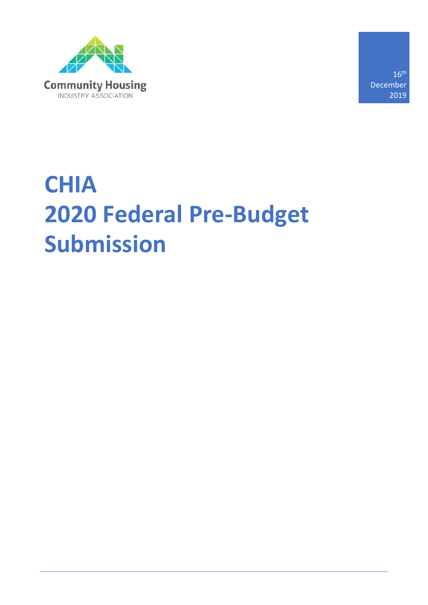

16th December 2019

# **CHIA 2020 Federal Pre-Budget Submission**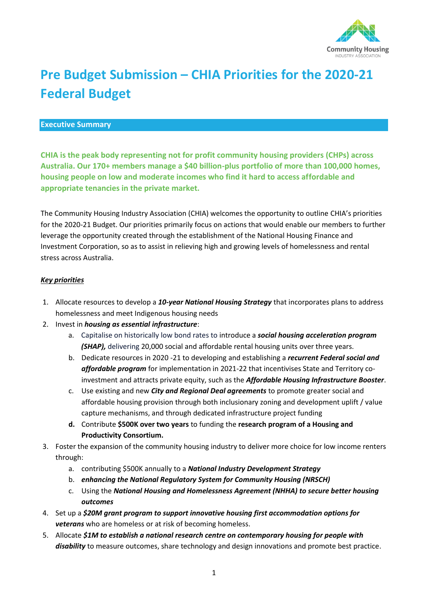

# **Pre Budget Submission – CHIA Priorities for the 2020-21 Federal Budget**

#### **Executive Summary**

**CHIA is the peak body representing not for profit community housing providers (CHPs) across Australia. Our 170+ members manage a \$40 billion-plus portfolio of more than 100,000 homes, housing people on low and moderate incomes who find it hard to access affordable and appropriate tenancies in the private market.** 

The Community Housing Industry Association (CHIA) welcomes the opportunity to outline CHIA's priorities for the 2020-21 Budget. Our priorities primarily focus on actions that would enable our members to further leverage the opportunity created through the establishment of the National Housing Finance and Investment Corporation, so as to assist in relieving high and growing levels of homelessness and rental stress across Australia.

#### *Key priorities*

- 1. Allocate resources to develop a *10-year National Housing Strategy* that incorporates plans to address homelessness and meet Indigenous housing needs
- 2. Invest in *housing as essential infrastructure*:
	- a. Capitalise on historically low bond rates to introduce a *social housing acceleration program*  **(SHAP)**, delivering 20,000 social and affordable rental housing units over three years.
	- b. Dedicate resources in 2020 -21 to developing and establishing a *recurrent Federal social and affordable program* for implementation in 2021-22 that incentivises State and Territory coinvestment and attracts private equity, such as the *Affordable Housing Infrastructure Booster*.
	- c. Use existing and new *City and Regional Deal agreements* to promote greater social and affordable housing provision through both inclusionary zoning and development uplift / value capture mechanisms, and through dedicated infrastructure project funding
	- **d.** Contribute **\$500K over two years** to funding the **research program of a Housing and Productivity Consortium.**
- 3. Foster the expansion of the community housing industry to deliver more choice for low income renters through:
	- a. contributing \$500K annually to a *National Industry Development Strategy*
	- b. *enhancing the National Regulatory System for Community Housing (NRSCH)*
	- c. Using the *National Housing and Homelessness Agreement (NHHA) to secure better housing outcomes*
- 4. Set up a *\$20M grant program to support innovative housing first accommodation options for veterans* who are homeless or at risk of becoming homeless.
- 5. Allocate *\$1M to establish a national research centre on contemporary housing for people with disability* to measure outcomes, share technology and design innovations and promote best practice.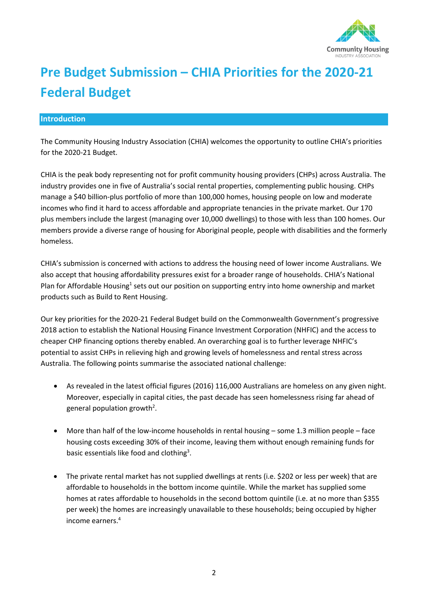

# **Pre Budget Submission – CHIA Priorities for the 2020-21 Federal Budget**

#### **Introduction**

The Community Housing Industry Association (CHIA) welcomes the opportunity to outline CHIA's priorities for the 2020-21 Budget.

CHIA is the peak body representing not for profit community housing providers (CHPs) across Australia. The industry provides one in five of Australia's social rental properties, complementing public housing. CHPs manage a \$40 billion-plus portfolio of more than 100,000 homes, housing people on low and moderate incomes who find it hard to access affordable and appropriate tenancies in the private market. Our 170 plus members include the largest (managing over 10,000 dwellings) to those with less than 100 homes. Our members provide a diverse range of housing for Aboriginal people, people with disabilities and the formerly homeless.

CHIA's submission is concerned with actions to address the housing need of lower income Australians. We also accept that housing affordability pressures exist for a broader range of households. CHIA's National Plan for Affordable Housing<sup>1</sup> sets out our position on supporting entry into home ownership and market products such as Build to Rent Housing.

Our key priorities for the 2020-21 Federal Budget build on the Commonwealth Government's progressive 2018 action to establish the National Housing Finance Investment Corporation (NHFIC) and the access to cheaper CHP financing options thereby enabled. An overarching goal is to further leverage NHFIC's potential to assist CHPs in relieving high and growing levels of homelessness and rental stress across Australia. The following points summarise the associated national challenge:

- As revealed in the latest official figures (2016) 116,000 Australians are homeless on any given night. Moreover, especially in capital cities, the past decade has seen homelessness rising far ahead of general population growth<sup>2</sup>.
- More than half of the low-income households in rental housing some 1.3 million people face housing costs exceeding 30% of their income, leaving them without enough remaining funds for basic essentials like food and clothing<sup>3</sup>.
- The private rental market has not supplied dwellings at rents (i.e. \$202 or less per week) that are affordable to households in the bottom income quintile. While the market has supplied some homes at rates affordable to households in the second bottom quintile (i.e. at no more than \$355 per week) the homes are increasingly unavailable to these households; being occupied by higher income earners.4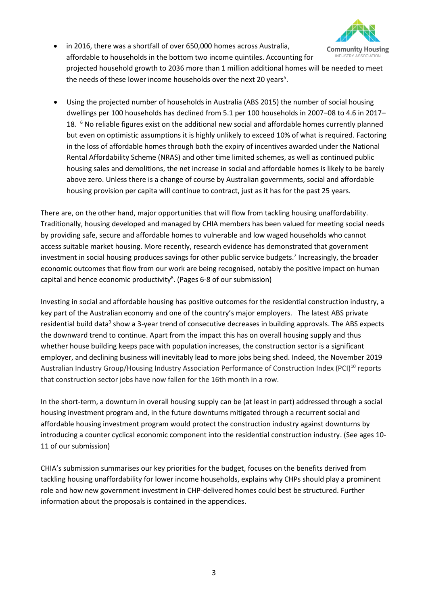

- in 2016, there was a shortfall of over 650,000 homes across Australia, affordable to households in the bottom two income quintiles. Accounting for INDUSTRY ASSOCIATION projected household growth to 2036 more than 1 million additional homes will be needed to meet the needs of these lower income households over the next 20 years<sup>5</sup>.
- Using the projected number of households in Australia (ABS 2015) the number of social housing dwellings per 100 households has declined from 5.1 per 100 households in 2007–08 to 4.6 in 2017– 18*.* <sup>6</sup> No reliable figures exist on the additional new social and affordable homes currently planned but even on optimistic assumptions it is highly unlikely to exceed 10% of what is required. Factoring in the loss of affordable homes through both the expiry of incentives awarded under the National Rental Affordability Scheme (NRAS) and other time limited schemes, as well as continued public housing sales and demolitions, the net increase in social and affordable homes is likely to be barely above zero. Unless there is a change of course by Australian governments, social and affordable housing provision per capita will continue to contract, just as it has for the past 25 years.

There are, on the other hand, major opportunities that will flow from tackling housing unaffordability. Traditionally, housing developed and managed by CHIA members has been valued for meeting social needs by providing safe, secure and affordable homes to vulnerable and low waged households who cannot access suitable market housing. More recently, research evidence has demonstrated that government investment in social housing produces savings for other public service budgets.<sup>7</sup> Increasingly, the broader economic outcomes that flow from our work are being recognised, notably the positive impact on human capital and hence economic productivity<sup>8</sup>. (Pages 6-8 of our submission)

Investing in social and affordable housing has positive outcomes for the residential construction industry, a key part of the Australian economy and one of the country's major employers. The latest ABS private residential build data<sup>9</sup> show a 3-year trend of consecutive decreases in building approvals. The ABS expects the downward trend to continue. Apart from the impact this has on overall housing supply and thus whether house building keeps pace with population increases, the construction sector is a significant employer, and declining business will inevitably lead to more jobs being shed. Indeed, the November 2019 Australian Industry Group/Housing Industry Association Performance of Construction Index (PCI)<sup>10</sup> reports that construction sector jobs have now fallen for the 16th month in a row.

In the short-term, a downturn in overall housing supply can be (at least in part) addressed through a social housing investment program and, in the future downturns mitigated through a recurrent social and affordable housing investment program would protect the construction industry against downturns by introducing a counter cyclical economic component into the residential construction industry. (See ages 10- 11 of our submission)

CHIA's submission summarises our key priorities for the budget, focuses on the benefits derived from tackling housing unaffordability for lower income households, explains why CHPs should play a prominent role and how new government investment in CHP-delivered homes could best be structured. Further information about the proposals is contained in the appendices.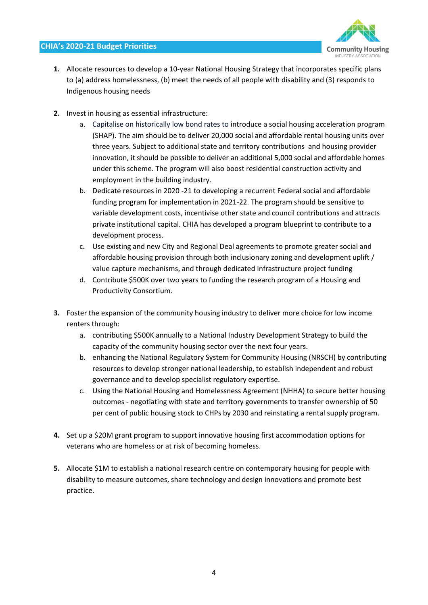

- **1.** Allocate resources to develop a 10-year National Housing Strategy that incorporates specific plans to (a) address homelessness, (b) meet the needs of all people with disability and (3) responds to Indigenous housing needs
- **2.** Invest in housing as essential infrastructure:
	- a. Capitalise on historically low bond rates to introduce a social housing acceleration program (SHAP). The aim should be to deliver 20,000 social and affordable rental housing units over three years. Subject to additional state and territory contributions and housing provider innovation, it should be possible to deliver an additional 5,000 social and affordable homes under this scheme. The program will also boost residential construction activity and employment in the building industry.
	- b. Dedicate resources in 2020 -21 to developing a recurrent Federal social and affordable funding program for implementation in 2021-22. The program should be sensitive to variable development costs, incentivise other state and council contributions and attracts private institutional capital. CHIA has developed a program blueprint to contribute to a development process.
	- c. Use existing and new City and Regional Deal agreements to promote greater social and affordable housing provision through both inclusionary zoning and development uplift / value capture mechanisms, and through dedicated infrastructure project funding
	- d. Contribute \$500K over two years to funding the research program of a Housing and Productivity Consortium.
- **3.** Foster the expansion of the community housing industry to deliver more choice for low income renters through:
	- a. contributing \$500K annually to a National Industry Development Strategy to build the capacity of the community housing sector over the next four years.
	- b. enhancing the National Regulatory System for Community Housing (NRSCH) by contributing resources to develop stronger national leadership, to establish independent and robust governance and to develop specialist regulatory expertise.
	- c. Using the National Housing and Homelessness Agreement (NHHA) to secure better housing outcomes - negotiating with state and territory governments to transfer ownership of 50 per cent of public housing stock to CHPs by 2030 and reinstating a rental supply program.
- **4.** Set up a \$20M grant program to support innovative housing first accommodation options for veterans who are homeless or at risk of becoming homeless.
- **5.** Allocate \$1M to establish a national research centre on contemporary housing for people with disability to measure outcomes, share technology and design innovations and promote best practice.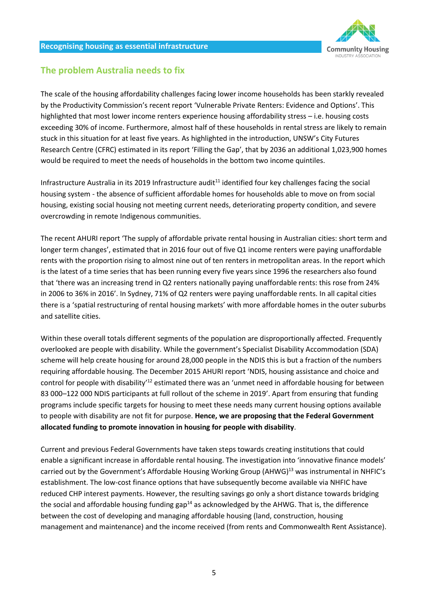

# **The problem Australia needs to fix**

The scale of the housing affordability challenges facing lower income households has been starkly revealed by the Productivity Commission's recent report 'Vulnerable Private Renters: Evidence and Options'. This highlighted that most lower income renters experience housing affordability stress – i.e. housing costs exceeding 30% of income. Furthermore, almost half of these households in rental stress are likely to remain stuck in this situation for at least five years. As highlighted in the introduction, UNSW's City Futures Research Centre (CFRC) estimated in its report 'Filling the Gap', that by 2036 an additional 1,023,900 homes would be required to meet the needs of households in the bottom two income quintiles.

Infrastructure Australia in its 2019 Infrastructure audit<sup>11</sup> identified four key challenges facing the social housing system - the absence of sufficient affordable homes for households able to move on from social housing, existing social housing not meeting current needs, deteriorating property condition, and severe overcrowding in remote Indigenous communities.

The recent AHURI report 'The supply of affordable private rental housing in Australian cities: short term and longer term changes', estimated that in 2016 four out of five Q1 income renters were paying unaffordable rents with the proportion rising to almost nine out of ten renters in metropolitan areas. In the report which is the latest of a time series that has been running every five years since 1996 the researchers also found that 'there was an increasing trend in Q2 renters nationally paying unaffordable rents: this rose from 24% in 2006 to 36% in 2016'. In Sydney, 71% of Q2 renters were paying unaffordable rents. In all capital cities there is a 'spatial restructuring of rental housing markets' with more affordable homes in the outer suburbs and satellite cities.

Within these overall totals different segments of the population are disproportionally affected. Frequently overlooked are people with disability. While the government's Specialist Disability Accommodation (SDA) scheme will help create housing for around 28,000 people in the NDIS this is but a fraction of the numbers requiring affordable housing. The December 2015 AHURI report 'NDIS, housing assistance and choice and control for people with disability<sup>12</sup> estimated there was an 'unmet need in affordable housing for between 83 000–122 000 NDIS participants at full rollout of the scheme in 2019'. Apart from ensuring that funding programs include specific targets for housing to meet these needs many current housing options available to people with disability are not fit for purpose. **Hence, we are proposing that the Federal Government allocated funding to promote innovation in housing for people with disability**.

Current and previous Federal Governments have taken steps towards creating institutions that could enable a significant increase in affordable rental housing. The investigation into 'innovative finance models' carried out by the Government's Affordable Housing Working Group (AHWG)<sup>13</sup> was instrumental in NHFIC's establishment. The low-cost finance options that have subsequently become available via NHFIC have reduced CHP interest payments. However, the resulting savings go only a short distance towards bridging the social and affordable housing funding gap<sup>14</sup> as acknowledged by the AHWG. That is, the difference between the cost of developing and managing affordable housing (land, construction, housing management and maintenance) and the income received (from rents and Commonwealth Rent Assistance).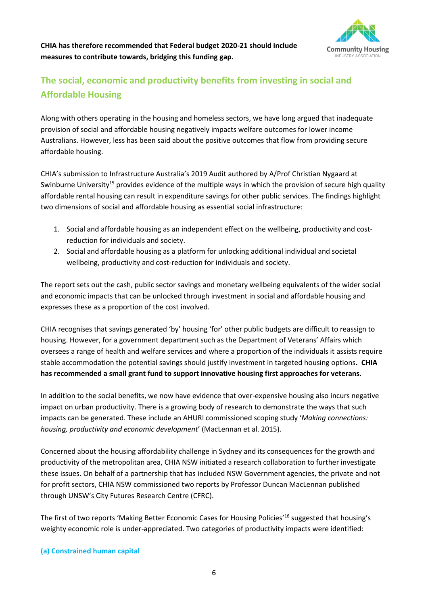



# **The social, economic and productivity benefits from investing in social and Affordable Housing**

Along with others operating in the housing and homeless sectors, we have long argued that inadequate provision of social and affordable housing negatively impacts welfare outcomes for lower income Australians. However, less has been said about the positive outcomes that flow from providing secure affordable housing.

CHIA's submission to Infrastructure Australia's 2019 Audit authored by A/Prof Christian Nygaard at Swinburne University<sup>15</sup> provides evidence of the multiple ways in which the provision of secure high quality affordable rental housing can result in expenditure savings for other public services. The findings highlight two dimensions of social and affordable housing as essential social infrastructure:

- 1. Social and affordable housing as an independent effect on the wellbeing, productivity and costreduction for individuals and society.
- 2. Social and affordable housing as a platform for unlocking additional individual and societal wellbeing, productivity and cost-reduction for individuals and society.

The report sets out the cash, public sector savings and monetary wellbeing equivalents of the wider social and economic impacts that can be unlocked through investment in social and affordable housing and expresses these as a proportion of the cost involved.

CHIA recognises that savings generated 'by' housing 'for' other public budgets are difficult to reassign to housing. However, for a government department such as the Department of Veterans' Affairs which oversees a range of health and welfare services and where a proportion of the individuals it assists require stable accommodation the potential savings should justify investment in targeted housing options**. CHIA has recommended a small grant fund to support innovative housing first approaches for veterans.**

In addition to the social benefits, we now have evidence that over-expensive housing also incurs negative impact on urban productivity. There is a growing body of research to demonstrate the ways that such impacts can be generated. These include an AHURI commissioned scoping study '*Making connections: housing, productivity and economic development*' (MacLennan et al. 2015).

Concerned about the housing affordability challenge in Sydney and its consequences for the growth and productivity of the metropolitan area, CHIA NSW initiated a research collaboration to further investigate these issues. On behalf of a partnership that has included NSW Government agencies, the private and not for profit sectors, CHIA NSW commissioned two reports by Professor Duncan MacLennan published through UNSW's City Futures Research Centre (CFRC).

The first of two reports 'Making Better Economic Cases for Housing Policies'<sup>16</sup> suggested that housing's weighty economic role is under-appreciated. Two categories of productivity impacts were identified:

#### **(a) Constrained human capital**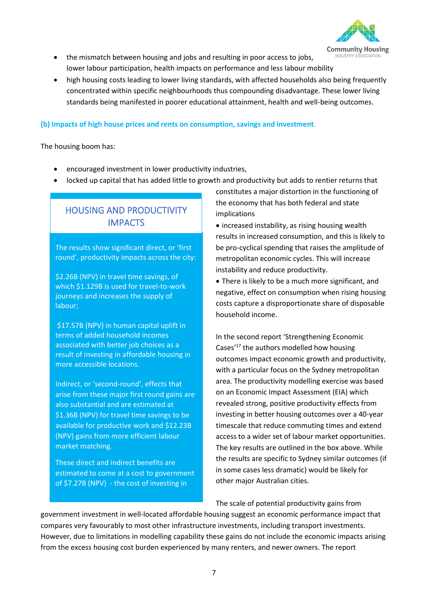

- the mismatch between housing and jobs and resulting in poor access to jobs, lower labour participation, health impacts on performance and less labour mobility
- high housing costs leading to lower living standards, with affected households also being frequently concentrated within specific neighbourhoods thus compounding disadvantage. These lower living standards being manifested in poorer educational attainment, health and well-being outcomes.

#### **(b) Impacts of high house prices and rents on consumption, savings and investment**.

The housing boom has:

- encouraged investment in lower productivity industries,
- locked up capital that has added little to growth and productivity but adds to rentier returns that

# HOUSING AND PRODUCTIVITY IMPACTS

The results show significant direct, or 'first round', productivity impacts across the city:

\$2.26B (NPV) in travel time savings, of which \$1.129B is used for travel-to-work journeys and increases the supply of labour;

\$17.57B (NPV) in human capital uplift in terms of added household incomes associated with better job choices as a result of investing in affordable housing in more accessible locations.

Indirect, or 'second-round', effects that arise from these major first round gains are also substantial and are estimated at \$1.36B (NPV) for travel time savings to be available for productive work and \$12.23B (NPV) gains from more efficient labour market matching.

These direct and indirect benefits are estimated to come at a cost to government of \$7.27B (NPV) - the cost of investing in

constitutes a major distortion in the functioning of the economy that has both federal and state implications

• increased instability, as rising housing wealth results in increased consumption, and this is likely to be pro-cyclical spending that raises the amplitude of metropolitan economic cycles. This will increase instability and reduce productivity.

• There is likely to be a much more significant, and negative, effect on consumption when rising housing costs capture a disproportionate share of disposable household income.

In the second report 'Strengthening Economic Cases<sup>'17</sup> the authors modelled how housing outcomes impact economic growth and productivity, with a particular focus on the Sydney metropolitan area. The productivity modelling exercise was based on an Economic Impact Assessment (EIA) which revealed strong, positive productivity effects from investing in better housing outcomes over a 40-year timescale that reduce commuting times and extend access to a wider set of labour market opportunities. The key results are outlined in the box above. While the results are specific to Sydney similar outcomes (if in some cases less dramatic) would be likely for other major Australian cities.

The scale of potential productivity gains from

government investment in well-located affordable housing suggest an economic performance impact that compares very favourably to most other infrastructure investments, including transport investments. However, due to limitations in modelling capability these gains do not include the economic impacts arising from the excess housing cost burden experienced by many renters, and newer owners. The report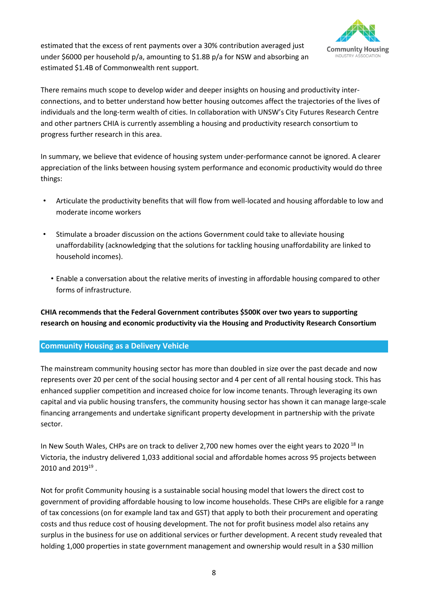

estimated that the excess of rent payments over a 30% contribution averaged just under \$6000 per household p/a, amounting to \$1.8B p/a for NSW and absorbing an estimated \$1.4B of Commonwealth rent support.

There remains much scope to develop wider and deeper insights on housing and productivity interconnections, and to better understand how better housing outcomes affect the trajectories of the lives of individuals and the long-term wealth of cities. In collaboration with UNSW's City Futures Research Centre and other partners CHIA is currently assembling a housing and productivity research consortium to progress further research in this area.

In summary, we believe that evidence of housing system under-performance cannot be ignored. A clearer appreciation of the links between housing system performance and economic productivity would do three things:

- Articulate the productivity benefits that will flow from well-located and housing affordable to low and moderate income workers
- Stimulate a broader discussion on the actions Government could take to alleviate housing unaffordability (acknowledging that the solutions for tackling housing unaffordability are linked to household incomes).
	- Enable a conversation about the relative merits of investing in affordable housing compared to other forms of infrastructure.

**CHIA recommends that the Federal Government contributes \$500K over two years to supporting research on housing and economic productivity via the Housing and Productivity Research Consortium** 

#### **Community Housing as a Delivery Vehicle**

The mainstream community housing sector has more than doubled in size over the past decade and now represents over 20 per cent of the social housing sector and 4 per cent of all rental housing stock. This has enhanced supplier competition and increased choice for low income tenants. Through leveraging its own capital and via public housing transfers, the community housing sector has shown it can manage large-scale financing arrangements and undertake significant property development in partnership with the private sector.

In New South Wales, CHPs are on track to deliver 2,700 new homes over the eight years to 2020<sup>18</sup> In Victoria, the industry delivered 1,033 additional social and affordable homes across 95 projects between  $2010$  and  $2019^{19}$ .

Not for profit Community housing is a sustainable social housing model that lowers the direct cost to government of providing affordable housing to low income households. These CHPs are eligible for a range of tax concessions (on for example land tax and GST) that apply to both their procurement and operating costs and thus reduce cost of housing development. The not for profit business model also retains any surplus in the business for use on additional services or further development. A recent study revealed that holding 1,000 properties in state government management and ownership would result in a \$30 million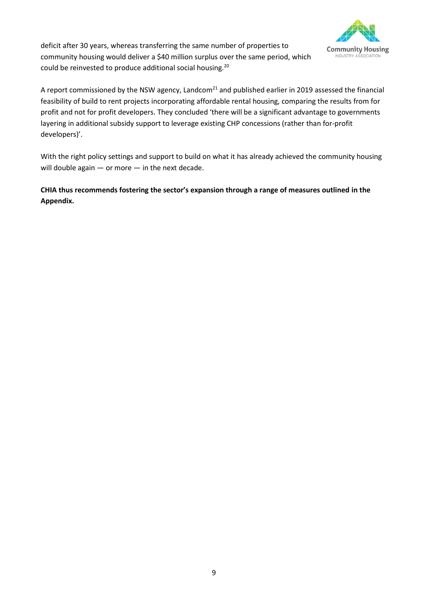

deficit after 30 years, whereas transferring the same number of properties to community housing would deliver a \$40 million surplus over the same period, which could be reinvested to produce additional social housing.<sup>20</sup>

A report commissioned by the NSW agency, Landcom $^{21}$  and published earlier in 2019 assessed the financial feasibility of build to rent projects incorporating affordable rental housing, comparing the results from for profit and not for profit developers. They concluded 'there will be a significant advantage to governments layering in additional subsidy support to leverage existing CHP concessions (rather than for-profit developers)'.

With the right policy settings and support to build on what it has already achieved the community housing will double again - or more - in the next decade.

**CHIA thus recommends fostering the sector's expansion through a range of measures outlined in the Appendix.**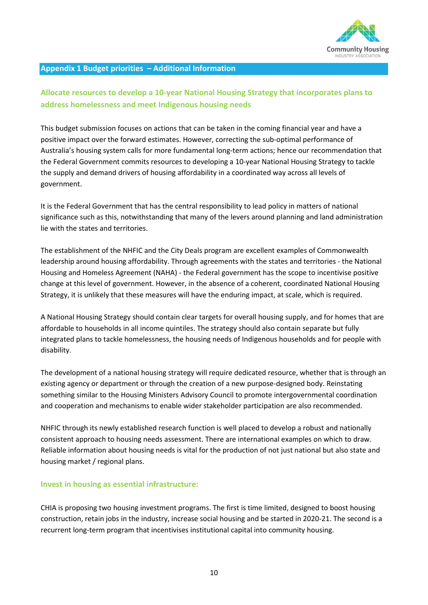

#### **Appendix 1 Budget priorities – Additional Information**

# **Allocate resources to develop a 10-year National Housing Strategy that incorporates plans to address homelessness and meet Indigenous housing needs**

This budget submission focuses on actions that can be taken in the coming financial year and have a positive impact over the forward estimates. However, correcting the sub-optimal performance of Australia's housing system calls for more fundamental long-term actions; hence our recommendation that the Federal Government commits resources to developing a 10-year National Housing Strategy to tackle the supply and demand drivers of housing affordability in a coordinated way across all levels of government.

It is the Federal Government that has the central responsibility to lead policy in matters of national significance such as this, notwithstanding that many of the levers around planning and land administration lie with the states and territories.

The establishment of the NHFIC and the City Deals program are excellent examples of Commonwealth leadership around housing affordability. Through agreements with the states and territories - the National Housing and Homeless Agreement (NAHA) - the Federal government has the scope to incentivise positive change at this level of government. However, in the absence of a coherent, coordinated National Housing Strategy, it is unlikely that these measures will have the enduring impact, at scale, which is required.

A National Housing Strategy should contain clear targets for overall housing supply, and for homes that are affordable to households in all income quintiles. The strategy should also contain separate but fully integrated plans to tackle homelessness, the housing needs of Indigenous households and for people with disability.

The development of a national housing strategy will require dedicated resource, whether that is through an existing agency or department or through the creation of a new purpose-designed body. Reinstating something similar to the Housing Ministers Advisory Council to promote intergovernmental coordination and cooperation and mechanisms to enable wider stakeholder participation are also recommended.

NHFIC through its newly established research function is well placed to develop a robust and nationally consistent approach to housing needs assessment. There are international examples on which to draw. Reliable information about housing needs is vital for the production of not just national but also state and housing market / regional plans.

#### **Invest in housing as essential infrastructure:**

CHIA is proposing two housing investment programs. The first is time limited, designed to boost housing construction, retain jobs in the industry, increase social housing and be started in 2020-21. The second is a recurrent long-term program that incentivises institutional capital into community housing.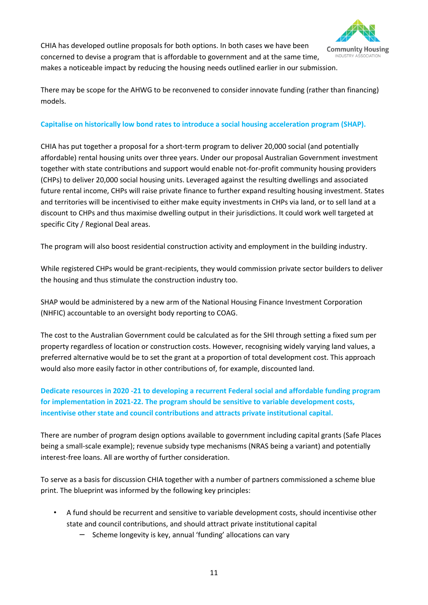

CHIA has developed outline proposals for both options. In both cases we have been concerned to devise a program that is affordable to government and at the same time, makes a noticeable impact by reducing the housing needs outlined earlier in our submission.

There may be scope for the AHWG to be reconvened to consider innovate funding (rather than financing) models.

#### **Capitalise on historically low bond rates to introduce a social housing acceleration program (SHAP).**

CHIA has put together a proposal for a short-term program to deliver 20,000 social (and potentially affordable) rental housing units over three years. Under our proposal Australian Government investment together with state contributions and support would enable not-for-profit community housing providers (CHPs) to deliver 20,000 social housing units. Leveraged against the resulting dwellings and associated future rental income, CHPs will raise private finance to further expand resulting housing investment. States and territories will be incentivised to either make equity investments in CHPs via land, or to sell land at a discount to CHPs and thus maximise dwelling output in their jurisdictions. It could work well targeted at specific City / Regional Deal areas.

The program will also boost residential construction activity and employment in the building industry.

While registered CHPs would be grant-recipients, they would commission private sector builders to deliver the housing and thus stimulate the construction industry too.

SHAP would be administered by a new arm of the National Housing Finance Investment Corporation (NHFIC) accountable to an oversight body reporting to COAG.

The cost to the Australian Government could be calculated as for the SHI through setting a fixed sum per property regardless of location or construction costs. However, recognising widely varying land values, a preferred alternative would be to set the grant at a proportion of total development cost. This approach would also more easily factor in other contributions of, for example, discounted land.

## **Dedicate resources in 2020 -21 to developing a recurrent Federal social and affordable funding program for implementation in 2021-22. The program should be sensitive to variable development costs, incentivise other state and council contributions and attracts private institutional capital.**

There are number of program design options available to government including capital grants (Safe Places being a small-scale example); revenue subsidy type mechanisms (NRAS being a variant) and potentially interest-free loans. All are worthy of further consideration.

To serve as a basis for discussion CHIA together with a number of partners commissioned a scheme blue print. The blueprint was informed by the following key principles:

- A fund should be recurrent and sensitive to variable development costs, should incentivise other state and council contributions, and should attract private institutional capital
	- Scheme longevity is key, annual 'funding' allocations can vary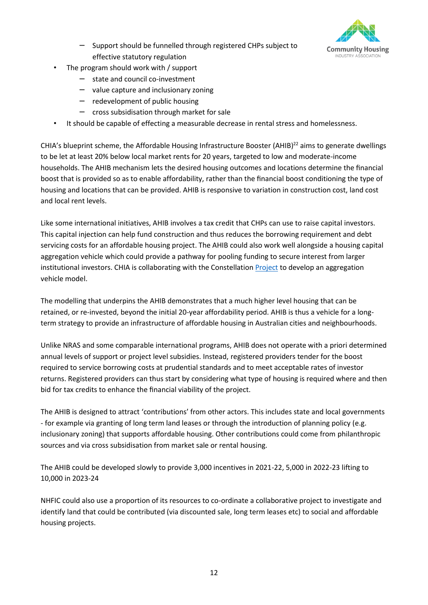

- Support should be funnelled through registered CHPs subject to effective statutory regulation
- The program should work with / support
	- $-$  state and council co-investment
	- $-$  value capture and inclusionary zoning
	- redevelopment of public housing
	- $-$  cross subsidisation through market for sale
- It should be capable of effecting a measurable decrease in rental stress and homelessness.

CHIA's blueprint scheme, the Affordable Housing Infrastructure Booster (AHIB) $^{22}$  aims to generate dwellings to be let at least 20% below local market rents for 20 years, targeted to low and moderate-income households. The AHIB mechanism lets the desired housing outcomes and locations determine the financial boost that is provided so as to enable affordability, rather than the financial boost conditioning the type of housing and locations that can be provided. AHIB is responsive to variation in construction cost, land cost and local rent levels.

Like some international initiatives, AHIB involves a tax credit that CHPs can use to raise capital investors. This capital injection can help fund construction and thus reduces the borrowing requirement and debt servicing costs for an affordable housing project. The AHIB could also work well alongside a housing capital aggregation vehicle which could provide a pathway for pooling funding to secure interest from larger institutional investors. CHIA is collaborating with the Constellation [Project](https://www.theconstellationproject.com.au/) to develop an aggregation vehicle model.

The modelling that underpins the AHIB demonstrates that a much higher level housing that can be retained, or re-invested, beyond the initial 20-year affordability period. AHIB is thus a vehicle for a longterm strategy to provide an infrastructure of affordable housing in Australian cities and neighbourhoods.

Unlike NRAS and some comparable international programs, AHIB does not operate with a priori determined annual levels of support or project level subsidies. Instead, registered providers tender for the boost required to service borrowing costs at prudential standards and to meet acceptable rates of investor returns. Registered providers can thus start by considering what type of housing is required where and then bid for tax credits to enhance the financial viability of the project.

The AHIB is designed to attract 'contributions' from other actors. This includes state and local governments - for example via granting of long term land leases or through the introduction of planning policy (e.g. inclusionary zoning) that supports affordable housing. Other contributions could come from philanthropic sources and via cross subsidisation from market sale or rental housing.

The AHIB could be developed slowly to provide 3,000 incentives in 2021-22, 5,000 in 2022-23 lifting to 10,000 in 2023-24

NHFIC could also use a proportion of its resources to co-ordinate a collaborative project to investigate and identify land that could be contributed (via discounted sale, long term leases etc) to social and affordable housing projects.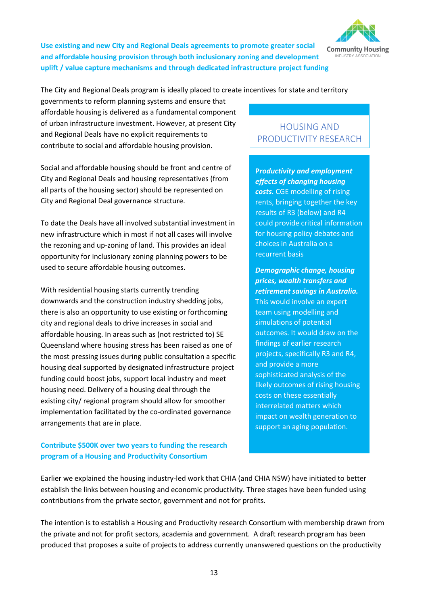

**Use existing and new City and Regional Deals agreements to promote greater social and affordable housing provision through both inclusionary zoning and development uplift / value capture mechanisms and through dedicated infrastructure project funding** 

The City and Regional Deals program is ideally placed to create incentives for state and territory

governments to reform planning systems and ensure that affordable housing is delivered as a fundamental component of urban infrastructure investment. However, at present City and Regional Deals have no explicit requirements to contribute to social and affordable housing provision.

Social and affordable housing should be front and centre of City and Regional Deals and housing representatives (from all parts of the housing sector) should be represented on City and Regional Deal governance structure.

To date the Deals have all involved substantial investment in new infrastructure which in most if not all cases will involve the rezoning and up-zoning of land. This provides an ideal opportunity for inclusionary zoning planning powers to be used to secure affordable housing outcomes.

With residential housing starts currently trending downwards and the construction industry shedding jobs, there is also an opportunity to use existing or forthcoming city and regional deals to drive increases in social and affordable housing. In areas such as (not restricted to) SE Queensland where housing stress has been raised as one of the most pressing issues during public consultation a specific housing deal supported by designated infrastructure project funding could boost jobs, support local industry and meet housing need. Delivery of a housing deal through the existing city/ regional program should allow for smoother implementation facilitated by the co-ordinated governance arrangements that are in place.

## **Contribute \$500K over two years to funding the research program of a Housing and Productivity Consortium**

# HOUSING AND PRODUCTIVITY RESEARCH

**P***roductivity and employment effects of changing housing costs.* CGE modelling of rising rents, bringing together the key results of R3 (below) and R4 could provide critical information for housing policy debates and choices in Australia on a recurrent basis

*Demographic change, housing prices, wealth transfers and retirement savings in Australia.* This would involve an expert team using modelling and simulations of potential outcomes. It would draw on the findings of earlier research projects, specifically R3 and R4, and provide a more sophisticated analysis of the likely outcomes of rising housing costs on these essentially interrelated matters which impact on wealth generation to support an aging population.

Earlier we explained the housing industry-led work that CHIA (and CHIA NSW) have initiated to better establish the links between housing and economic productivity. Three stages have been funded using contributions from the private sector, government and not for profits.

The intention is to establish a Housing and Productivity research Consortium with membership drawn from the private and not for profit sectors, academia and government. A draft research program has been produced that proposes a suite of projects to address currently unanswered questions on the productivity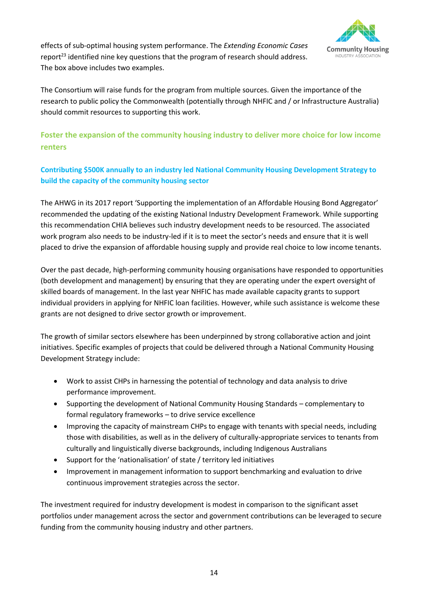

effects of sub-optimal housing system performance. The *Extending Economic Cases*  report $^{23}$  identified nine key questions that the program of research should address. The box above includes two examples.

The Consortium will raise funds for the program from multiple sources. Given the importance of the research to public policy the Commonwealth (potentially through NHFIC and / or Infrastructure Australia) should commit resources to supporting this work.

# **Foster the expansion of the community housing industry to deliver more choice for low income renters**

## **Contributing \$500K annually to an industry led National Community Housing Development Strategy to build the capacity of the community housing sector**

The AHWG in its 2017 report 'Supporting the implementation of an Affordable Housing Bond Aggregator' recommended the updating of the existing National Industry Development Framework. While supporting this recommendation CHIA believes such industry development needs to be resourced. The associated work program also needs to be industry-led if it is to meet the sector's needs and ensure that it is well placed to drive the expansion of affordable housing supply and provide real choice to low income tenants.

Over the past decade, high-performing community housing organisations have responded to opportunities (both development and management) by ensuring that they are operating under the expert oversight of skilled boards of management. In the last year NHFIC has made available capacity grants to support individual providers in applying for NHFIC loan facilities. However, while such assistance is welcome these grants are not designed to drive sector growth or improvement.

The growth of similar sectors elsewhere has been underpinned by strong collaborative action and joint initiatives. Specific examples of projects that could be delivered through a National Community Housing Development Strategy include:

- Work to assist CHPs in harnessing the potential of technology and data analysis to drive performance improvement.
- Supporting the development of National Community Housing Standards complementary to formal regulatory frameworks – to drive service excellence
- Improving the capacity of mainstream CHPs to engage with tenants with special needs, including those with disabilities, as well as in the delivery of culturally-appropriate services to tenants from culturally and linguistically diverse backgrounds, including Indigenous Australians
- Support for the 'nationalisation' of state / territory led initiatives
- Improvement in management information to support benchmarking and evaluation to drive continuous improvement strategies across the sector.

The investment required for industry development is modest in comparison to the significant asset portfolios under management across the sector and government contributions can be leveraged to secure funding from the community housing industry and other partners.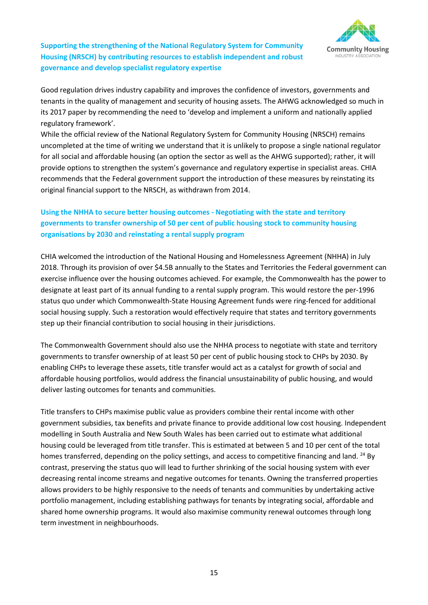

**Supporting the strengthening of the National Regulatory System for Community Housing (NRSCH) by contributing resources to establish independent and robust governance and develop specialist regulatory expertise** 

Good regulation drives industry capability and improves the confidence of investors, governments and tenants in the quality of management and security of housing assets. The AHWG acknowledged so much in its 2017 paper by recommending the need to 'develop and implement a uniform and nationally applied regulatory framework'.

While the official review of the National Regulatory System for Community Housing (NRSCH) remains uncompleted at the time of writing we understand that it is unlikely to propose a single national regulator for all social and affordable housing (an option the sector as well as the AHWG supported); rather, it will provide options to strengthen the system's governance and regulatory expertise in specialist areas. CHIA recommends that the Federal government support the introduction of these measures by reinstating its original financial support to the NRSCH, as withdrawn from 2014.

## **Using the NHHA to secure better housing outcomes - Negotiating with the state and territory governments to transfer ownership of 50 per cent of public housing stock to community housing organisations by 2030 and reinstating a rental supply program**

CHIA welcomed the introduction of the National Housing and Homelessness Agreement (NHHA) in July 2018. Through its provision of over \$4.5B annually to the States and Territories the Federal government can exercise influence over the housing outcomes achieved. For example, the Commonwealth has the power to designate at least part of its annual funding to a rental supply program. This would restore the per-1996 status quo under which Commonwealth-State Housing Agreement funds were ring-fenced for additional social housing supply. Such a restoration would effectively require that states and territory governments step up their financial contribution to social housing in their jurisdictions.

The Commonwealth Government should also use the NHHA process to negotiate with state and territory governments to transfer ownership of at least 50 per cent of public housing stock to CHPs by 2030. By enabling CHPs to leverage these assets, title transfer would act as a catalyst for growth of social and affordable housing portfolios, would address the financial unsustainability of public housing, and would deliver lasting outcomes for tenants and communities.

Title transfers to CHPs maximise public value as providers combine their rental income with other government subsidies, tax benefits and private finance to provide additional low cost housing. Independent modelling in South Australia and New South Wales has been carried out to estimate what additional housing could be leveraged from title transfer. This is estimated at between 5 and 10 per cent of the total homes transferred, depending on the policy settings, and access to competitive financing and land. <sup>24</sup> By contrast, preserving the status quo will lead to further shrinking of the social housing system with ever decreasing rental income streams and negative outcomes for tenants. Owning the transferred properties allows providers to be highly responsive to the needs of tenants and communities by undertaking active portfolio management, including establishing pathways for tenants by integrating social, affordable and shared home ownership programs. It would also maximise community renewal outcomes through long term investment in neighbourhoods.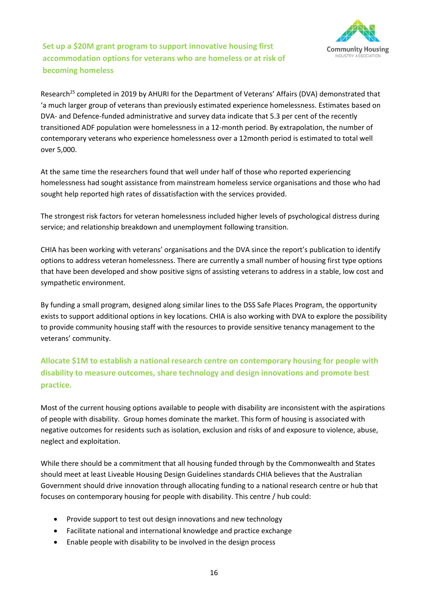

**Set up a \$20M grant program to support innovative housing first accommodation options for veterans who are homeless or at risk of becoming homeless** 

Research<sup>25</sup> completed in 2019 by AHURI for the Department of Veterans' Affairs (DVA) demonstrated that 'a much larger group of veterans than previously estimated experience homelessness. Estimates based on DVA- and Defence-funded administrative and survey data indicate that 5.3 per cent of the recently transitioned ADF population were homelessness in a 12-month period. By extrapolation, the number of contemporary veterans who experience homelessness over a 12month period is estimated to total well over 5,000.

At the same time the researchers found that well under half of those who reported experiencing homelessness had sought assistance from mainstream homeless service organisations and those who had sought help reported high rates of dissatisfaction with the services provided.

The strongest risk factors for veteran homelessness included higher levels of psychological distress during service; and relationship breakdown and unemployment following transition.

CHIA has been working with veterans' organisations and the DVA since the report's publication to identify options to address veteran homelessness. There are currently a small number of housing first type options that have been developed and show positive signs of assisting veterans to address in a stable, low cost and sympathetic environment.

By funding a small program, designed along similar lines to the DSS Safe Places Program, the opportunity exists to support additional options in key locations. CHIA is also working with DVA to explore the possibility to provide community housing staff with the resources to provide sensitive tenancy management to the veterans' community.

# **Allocate \$1M to establish a national research centre on contemporary housing for people with disability to measure outcomes, share technology and design innovations and promote best practice.**

Most of the current housing options available to people with disability are inconsistent with the aspirations of people with disability. Group homes dominate the market. This form of housing is associated with negative outcomes for residents such as isolation, exclusion and risks of and exposure to violence, abuse, neglect and exploitation.

While there should be a commitment that all housing funded through by the Commonwealth and States should meet at least Liveable Housing Design Guidelines standards CHIA believes that the Australian Government should drive innovation through allocating funding to a national research centre or hub that focuses on contemporary housing for people with disability. This centre / hub could:

- Provide support to test out design innovations and new technology
- Facilitate national and international knowledge and practice exchange
- Enable people with disability to be involved in the design process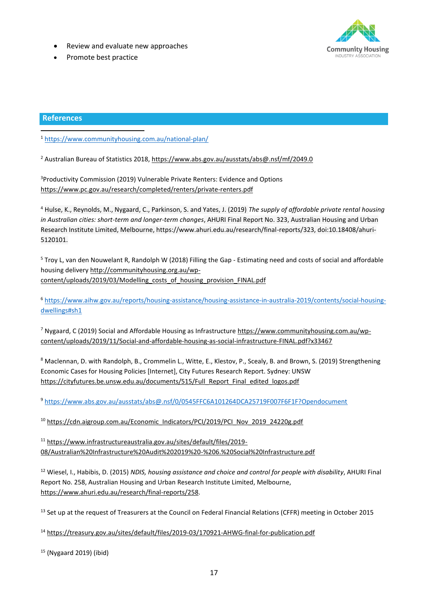- Review and evaluate new approaches
- Promote best practice



#### **References**

<sup>1</sup> <https://www.communityhousing.com.au/national-plan/>

<sup>2</sup> Australian Bureau of Statistics 2018,<https://www.abs.gov.au/ausstats/abs@.nsf/mf/2049.0>

<sup>3</sup>Productivity Commission (2019) Vulnerable Private Renters: Evidence and Options <https://www.pc.gov.au/research/completed/renters/private-renters.pdf>

<sup>4</sup> Hulse, K., Reynolds, M., Nygaard, C., Parkinson, S. and Yates, J. (2019) *The supply of affordable private rental housing in Australian cities: short-term and longer-term changes*, AHURI Final Report No. 323, Australian Housing and Urban Research Institute Limited, Melbourne, https://www.ahuri.edu.au/research/final-reports/323, doi:10.18408/ahuri-5120101.

<sup>5</sup> Troy L, van den Nouwelant R, Randolph W (2018) Filling the Gap - Estimating need and costs of social and affordable housing delivery http://communityhousing.org.au/wpcontent/uploads/2019/03/Modelling\_costs\_of\_housing\_provision\_FINAL.pdf

<sup>6</sup> [https://www.aihw.gov.au/reports/housing-assistance/housing-assistance-in-australia-2019/contents/social-housing](https://www.aihw.gov.au/reports/housing-assistance/housing-assistance-in-australia-2019/contents/social-housing-dwellings#sh1)[dwellings#sh1](https://www.aihw.gov.au/reports/housing-assistance/housing-assistance-in-australia-2019/contents/social-housing-dwellings#sh1)

<sup>7</sup> Nygaard, C (2019) Social and Affordable Housing as Infrastructure https://www.communityhousing.com.au/wpcontent/uploads/2019/11/Social-and-affordable-housing-as-social-infrastructure-FINAL.pdf?x33467

<sup>8</sup> Maclennan, D. with Randolph, B., Crommelin L., Witte, E., Klestov, P., Scealy, B. and Brown, S. (2019) Strengthening Economic Cases for Housing Policies [Internet], City Futures Research Report. Sydney: UNSW [https://cityfutures.be.unsw.edu.au/documents/515/Full\\_Report\\_Final\\_edited\\_logos.pdf](https://cityfutures.be.unsw.edu.au/documents/515/Full_Report_Final_edited_logos.pdf)

<sup>9</sup> <https://www.abs.gov.au/ausstats/abs@.nsf/0/0545FFC6A101264DCA25719F007F6F1F?Opendocument>

<sup>10</sup> [https://cdn.aigroup.com.au/Economic\\_Indicators/PCI/2019/PCI\\_Nov\\_2019\\_24220g.pdf](https://cdn.aigroup.com.au/Economic_Indicators/PCI/2019/PCI_Nov_2019_24220g.pdf)

<sup>11</sup> [https://www.infrastructureaustralia.gov.au/sites/default/files/2019-](https://www.infrastructureaustralia.gov.au/sites/default/files/2019-08/Australian%20Infrastructure%20Audit%202019%20-%206.%20Social%20Infrastructure.pdf) [08/Australian%20Infrastructure%20Audit%202019%20-%206.%20Social%20Infrastructure.pdf](https://www.infrastructureaustralia.gov.au/sites/default/files/2019-08/Australian%20Infrastructure%20Audit%202019%20-%206.%20Social%20Infrastructure.pdf)

<sup>12</sup> Wiesel, I., Habibis, D. (2015) *NDIS, housing assistance and choice and control for people with disability*, AHURI Final Report No. 258, Australian Housing and Urban Research Institute Limited, Melbourne, [https://www.ahuri.edu.au/research/final-reports/258.](https://www.ahuri.edu.au/research/final-reports/258)

<sup>13</sup> Set up at the request of Treasurers at the Council on Federal Financial Relations (CFFR) meeting in October 2015

<sup>14</sup> <https://treasury.gov.au/sites/default/files/2019-03/170921-AHWG-final-for-publication.pdf>

<sup>15</sup> (Nygaard 2019) (ibid)